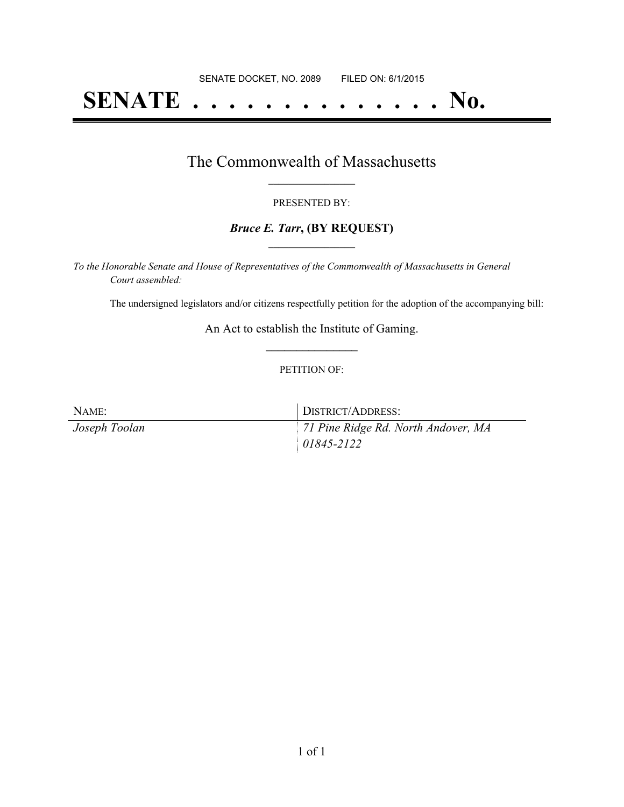# **SENATE . . . . . . . . . . . . . . No.**

### The Commonwealth of Massachusetts **\_\_\_\_\_\_\_\_\_\_\_\_\_\_\_\_\_**

#### PRESENTED BY:

#### *Bruce E. Tarr***, (BY REQUEST) \_\_\_\_\_\_\_\_\_\_\_\_\_\_\_\_\_**

*To the Honorable Senate and House of Representatives of the Commonwealth of Massachusetts in General Court assembled:*

The undersigned legislators and/or citizens respectfully petition for the adoption of the accompanying bill:

An Act to establish the Institute of Gaming. **\_\_\_\_\_\_\_\_\_\_\_\_\_\_\_**

#### PETITION OF:

| NAME:         | DISTRICT/ADDRESS:                   |
|---------------|-------------------------------------|
| Joseph Toolan | 71 Pine Ridge Rd. North Andover, MA |
|               | $01845 - 2122$                      |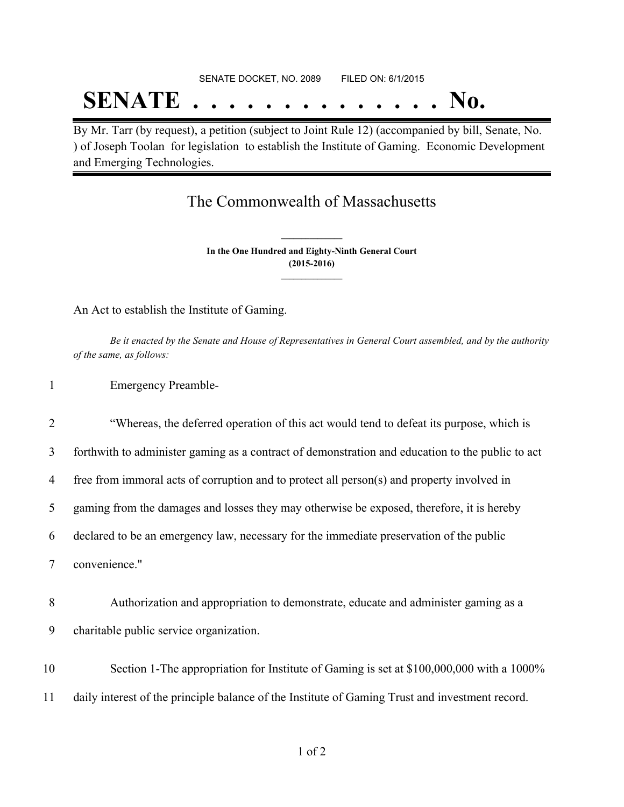# SENATE DOCKET, NO. 2089 FILED ON: 6/1/2015 **SENATE . . . . . . . . . . . . . . No.**

By Mr. Tarr (by request), a petition (subject to Joint Rule 12) (accompanied by bill, Senate, No. ) of Joseph Toolan for legislation to establish the Institute of Gaming. Economic Development and Emerging Technologies.

## The Commonwealth of Massachusetts

**In the One Hundred and Eighty-Ninth General Court (2015-2016) \_\_\_\_\_\_\_\_\_\_\_\_\_\_\_**

**\_\_\_\_\_\_\_\_\_\_\_\_\_\_\_**

An Act to establish the Institute of Gaming.

Be it enacted by the Senate and House of Representatives in General Court assembled, and by the authority *of the same, as follows:*

1 Emergency Preamble-

 "Whereas, the deferred operation of this act would tend to defeat its purpose, which is forthwith to administer gaming as a contract of demonstration and education to the public to act free from immoral acts of corruption and to protect all person(s) and property involved in gaming from the damages and losses they may otherwise be exposed, therefore, it is hereby declared to be an emergency law, necessary for the immediate preservation of the public convenience." Authorization and appropriation to demonstrate, educate and administer gaming as a charitable public service organization. Section 1-The appropriation for Institute of Gaming is set at \$100,000,000 with a 1000% daily interest of the principle balance of the Institute of Gaming Trust and investment record.